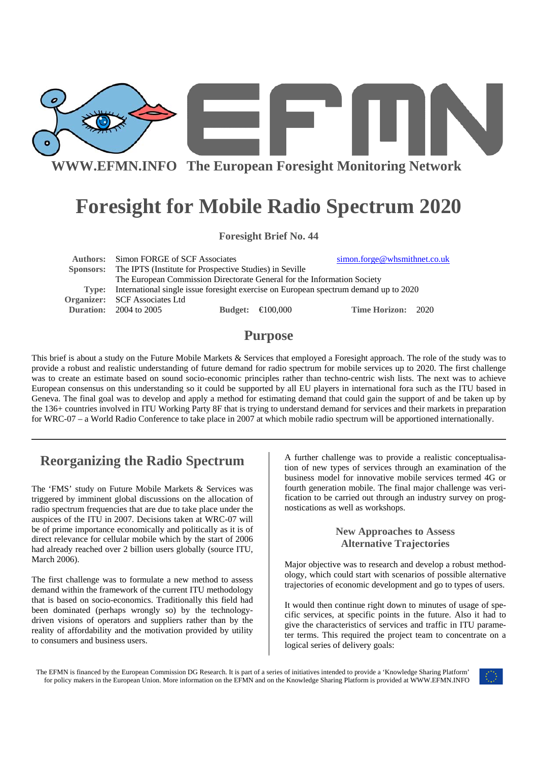

# **Foresight for Mobile Radio Spectrum 2020**

**Foresight Brief No. 44** 

**Authors:** Simon FORGE of SCF Associates simon.forge@whsmithnet.co.uk  **Sponsors:** The IPTS (Institute for Prospective Studies) in Seville The European Commission Directorate General for the Information Society **Type:** International single issue foresight exercise on European spectrum demand up to 2020 **Organizer:** SCF Associates Ltd **Duration:** 2004 to 2005 **Budget:** €100,000 **Time Horizon:** 2020

## **Purpose**

This brief is about a study on the Future Mobile Markets & Services that employed a Foresight approach. The role of the study was to provide a robust and realistic understanding of future demand for radio spectrum for mobile services up to 2020. The first challenge was to create an estimate based on sound socio-economic principles rather than techno-centric wish lists. The next was to achieve European consensus on this understanding so it could be supported by all EU players in international fora such as the ITU based in Geneva. The final goal was to develop and apply a method for estimating demand that could gain the support of and be taken up by the 136+ countries involved in ITU Working Party 8F that is trying to understand demand for services and their markets in preparation for WRC-07 – a World Radio Conference to take place in 2007 at which mobile radio spectrum will be apportioned internationally.

# **Reorganizing the Radio Spectrum**

The 'FMS' study on Future Mobile Markets & Services was triggered by imminent global discussions on the allocation of radio spectrum frequencies that are due to take place under the auspices of the ITU in 2007. Decisions taken at WRC-07 will be of prime importance economically and politically as it is of direct relevance for cellular mobile which by the start of 2006 had already reached over 2 billion users globally (source ITU, March 2006).

The first challenge was to formulate a new method to assess demand within the framework of the current ITU methodology that is based on socio-economics. Traditionally this field had been dominated (perhaps wrongly so) by the technologydriven visions of operators and suppliers rather than by the reality of affordability and the motivation provided by utility to consumers and business users.

A further challenge was to provide a realistic conceptualisation of new types of services through an examination of the business model for innovative mobile services termed 4G or fourth generation mobile. The final major challenge was verification to be carried out through an industry survey on prognostications as well as workshops.

## **New Approaches to Assess Alternative Trajectories**

Major objective was to research and develop a robust methodology, which could start with scenarios of possible alternative trajectories of economic development and go to types of users.

It would then continue right down to minutes of usage of specific services, at specific points in the future. Also it had to give the characteristics of services and traffic in ITU parameter terms. This required the project team to concentrate on a logical series of delivery goals:

The EFMN is financed by the European Commission DG Research. It is part of a series of initiatives intended to provide a 'Knowledge Sharing Platform' for policy makers in the European Union. More information on the EFMN and on the Knowledge Sharing Platform is provided at WWW.EFMN.INFO

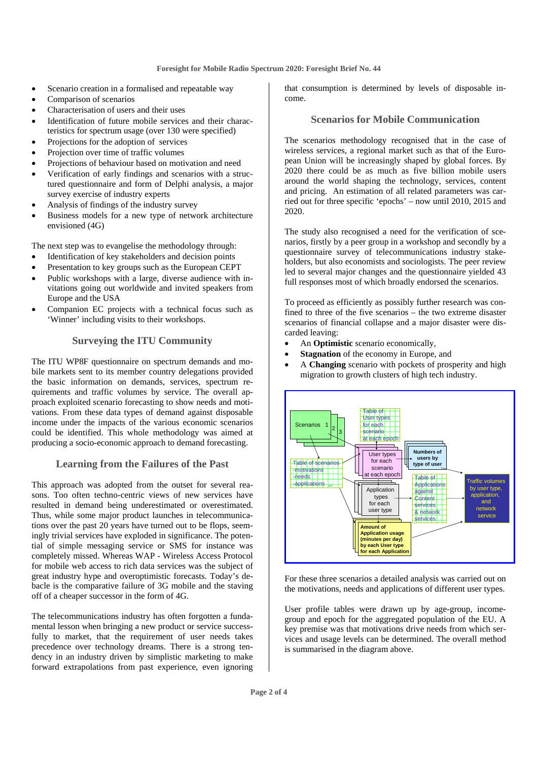- Scenario creation in a formalised and repeatable way
- Comparison of scenarios
- Characterisation of users and their uses
- Identification of future mobile services and their characteristics for spectrum usage (over 130 were specified)
- Projections for the adoption of services
- Projection over time of traffic volumes
- Projections of behaviour based on motivation and need
- Verification of early findings and scenarios with a structured questionnaire and form of Delphi analysis, a major survey exercise of industry experts
- Analysis of findings of the industry survey
- Business models for a new type of network architecture envisioned (4G)

The next step was to evangelise the methodology through:

- Identification of key stakeholders and decision points
- Presentation to key groups such as the European CEPT
- Public workshops with a large, diverse audience with invitations going out worldwide and invited speakers from Europe and the USA
- Companion EC projects with a technical focus such as 'Winner' including visits to their workshops.

#### **Surveying the ITU Community**

The ITU WP8F questionnaire on spectrum demands and mobile markets sent to its member country delegations provided the basic information on demands, services, spectrum requirements and traffic volumes by service. The overall approach exploited scenario forecasting to show needs and motivations. From these data types of demand against disposable income under the impacts of the various economic scenarios could be identified. This whole methodology was aimed at producing a socio-economic approach to demand forecasting.

### **Learning from the Failures of the Past**

This approach was adopted from the outset for several reasons. Too often techno-centric views of new services have resulted in demand being underestimated or overestimated. Thus, while some major product launches in telecommunications over the past 20 years have turned out to be flops, seemingly trivial services have exploded in significance. The potential of simple messaging service or SMS for instance was completely missed. Whereas WAP - Wireless Access Protocol for mobile web access to rich data services was the subject of great industry hype and overoptimistic forecasts. Today's debacle is the comparative failure of 3G mobile and the staving off of a cheaper successor in the form of 4G.

The telecommunications industry has often forgotten a fundamental lesson when bringing a new product or service successfully to market, that the requirement of user needs takes precedence over technology dreams. There is a strong tendency in an industry driven by simplistic marketing to make forward extrapolations from past experience, even ignoring that consumption is determined by levels of disposable income.

## **Scenarios for Mobile Communication**

The scenarios methodology recognised that in the case of wireless services, a regional market such as that of the European Union will be increasingly shaped by global forces. By 2020 there could be as much as five billion mobile users around the world shaping the technology, services, content and pricing. An estimation of all related parameters was carried out for three specific 'epochs' – now until 2010, 2015 and 2020.

The study also recognised a need for the verification of scenarios, firstly by a peer group in a workshop and secondly by a questionnaire survey of telecommunications industry stakeholders, but also economists and sociologists. The peer review led to several major changes and the questionnaire yielded 43 full responses most of which broadly endorsed the scenarios.

To proceed as efficiently as possibly further research was confined to three of the five scenarios – the two extreme disaster scenarios of financial collapse and a major disaster were discarded leaving:

- An **Optimistic** scenario economically,
- **Stagnation** of the economy in Europe, and
- A **Changing** scenario with pockets of prosperity and high migration to growth clusters of high tech industry.



For these three scenarios a detailed analysis was carried out on the motivations, needs and applications of different user types.

User profile tables were drawn up by age-group, incomegroup and epoch for the aggregated population of the EU. A key premise was that motivations drive needs from which services and usage levels can be determined. The overall method is summarised in the diagram above.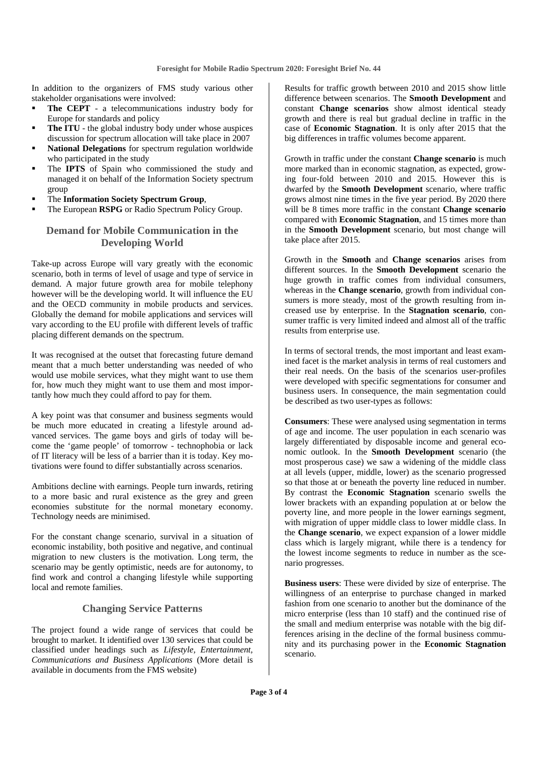In addition to the organizers of FMS study various other stakeholder organisations were involved:

- **The CEPT** a telecommunications industry body for Europe for standards and policy
- **The ITU** the global industry body under whose auspices discussion for spectrum allocation will take place in 2007
- **National Delegations** for spectrum regulation worldwide who participated in the study
- The **IPTS** of Spain who commissioned the study and managed it on behalf of the Information Society spectrum group
- The **Information Society Spectrum Group**,
- The European **RSPG** or Radio Spectrum Policy Group.

#### **Demand for Mobile Communication in the Developing World**

Take-up across Europe will vary greatly with the economic scenario, both in terms of level of usage and type of service in demand. A major future growth area for mobile telephony however will be the developing world. It will influence the EU and the OECD community in mobile products and services. Globally the demand for mobile applications and services will vary according to the EU profile with different levels of traffic placing different demands on the spectrum.

It was recognised at the outset that forecasting future demand meant that a much better understanding was needed of who would use mobile services, what they might want to use them for, how much they might want to use them and most importantly how much they could afford to pay for them.

A key point was that consumer and business segments would be much more educated in creating a lifestyle around advanced services. The game boys and girls of today will become the 'game people' of tomorrow - technophobia or lack of IT literacy will be less of a barrier than it is today. Key motivations were found to differ substantially across scenarios.

Ambitions decline with earnings. People turn inwards, retiring to a more basic and rural existence as the grey and green economies substitute for the normal monetary economy. Technology needs are minimised.

For the constant change scenario, survival in a situation of economic instability, both positive and negative, and continual migration to new clusters is the motivation. Long term, the scenario may be gently optimistic, needs are for autonomy, to find work and control a changing lifestyle while supporting local and remote families.

#### **Changing Service Patterns**

The project found a wide range of services that could be brought to market. It identified over 130 services that could be classified under headings such as *Lifestyle, Entertainment, Communications and Business Applications* (More detail is available in documents from the FMS website)

Results for traffic growth between 2010 and 2015 show little difference between scenarios. The **Smooth Development** and constant **Change scenarios** show almost identical steady growth and there is real but gradual decline in traffic in the case of **Economic Stagnation**. It is only after 2015 that the big differences in traffic volumes become apparent.

Growth in traffic under the constant **Change scenario** is much more marked than in economic stagnation, as expected, growing four-fold between 2010 and 2015. However this is dwarfed by the **Smooth Development** scenario, where traffic grows almost nine times in the five year period. By 2020 there will be 8 times more traffic in the constant **Change scenario** compared with **Economic Stagnation**, and 15 times more than in the **Smooth Development** scenario, but most change will take place after 2015.

Growth in the **Smooth** and **Change scenarios** arises from different sources. In the **Smooth Development** scenario the huge growth in traffic comes from individual consumers, whereas in the **Change scenario**, growth from individual consumers is more steady, most of the growth resulting from increased use by enterprise. In the **Stagnation scenario**, consumer traffic is very limited indeed and almost all of the traffic results from enterprise use.

In terms of sectoral trends, the most important and least examined facet is the market analysis in terms of real customers and their real needs. On the basis of the scenarios user-profiles were developed with specific segmentations for consumer and business users. In consequence, the main segmentation could be described as two user-types as follows:

**Consumers**: These were analysed using segmentation in terms of age and income. The user population in each scenario was largely differentiated by disposable income and general economic outlook. In the **Smooth Development** scenario (the most prosperous case) we saw a widening of the middle class at all levels (upper, middle, lower) as the scenario progressed so that those at or beneath the poverty line reduced in number. By contrast the **Economic Stagnation** scenario swells the lower brackets with an expanding population at or below the poverty line, and more people in the lower earnings segment, with migration of upper middle class to lower middle class. In the **Change scenario**, we expect expansion of a lower middle class which is largely migrant, while there is a tendency for the lowest income segments to reduce in number as the scenario progresses.

**Business users**: These were divided by size of enterprise. The willingness of an enterprise to purchase changed in marked fashion from one scenario to another but the dominance of the micro enterprise (less than 10 staff) and the continued rise of the small and medium enterprise was notable with the big differences arising in the decline of the formal business community and its purchasing power in the **Economic Stagnation** scenario.